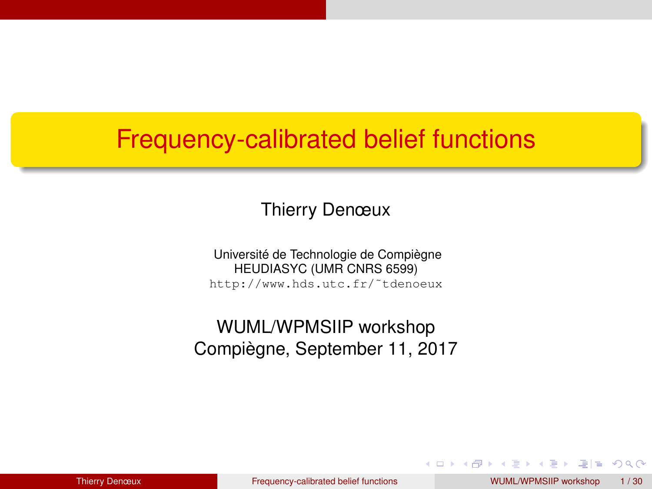#### <span id="page-0-0"></span>Frequency-calibrated belief functions

Thierry Denœux

Université de Technologie de Compiègne HEUDIASYC (UMR CNRS 6599) http://www.hds.utc.fr/˜tdenoeux

WUML/WPMSIIP workshop Compiègne, September 11, 2017

 $QQQ$ 

イロト イ母 トイヨ トイヨ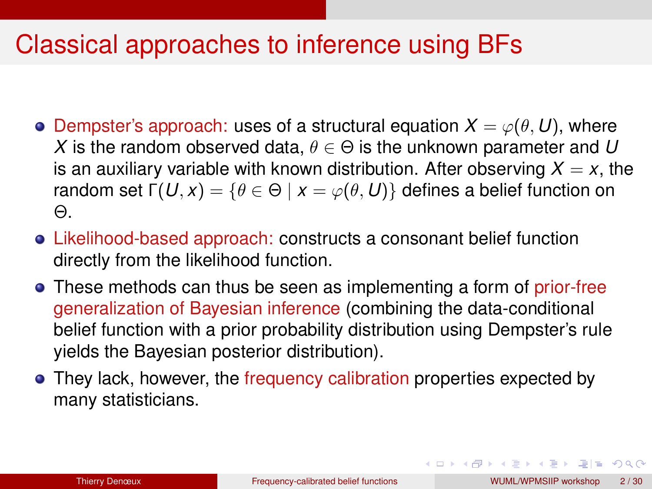#### Classical approaches to inference using BFs

- **O** Dempster's approach: uses of a structural equation  $X = \varphi(\theta, U)$ , where *X* is the random observed data,  $\theta \in \Theta$  is the unknown parameter and *U* is an auxiliary variable with known distribution. After observing  $X = x$ , the random set  $\Gamma(U, x) = \{ \theta \in \Theta \mid x = \varphi(\theta, U) \}$  defines a belief function on Θ.
- Likelihood-based approach: constructs a consonant belief function directly from the likelihood function.
- These methods can thus be seen as implementing a form of prior-free generalization of Bayesian inference (combining the data-conditional belief function with a prior probability distribution using Dempster's rule yields the Bayesian posterior distribution).
- They lack, however, the frequency calibration properties expected by many statisticians.

K ロ > K @ ▶ K ミ ▶ K ミ ▶ (로) 보는 K 9 Q @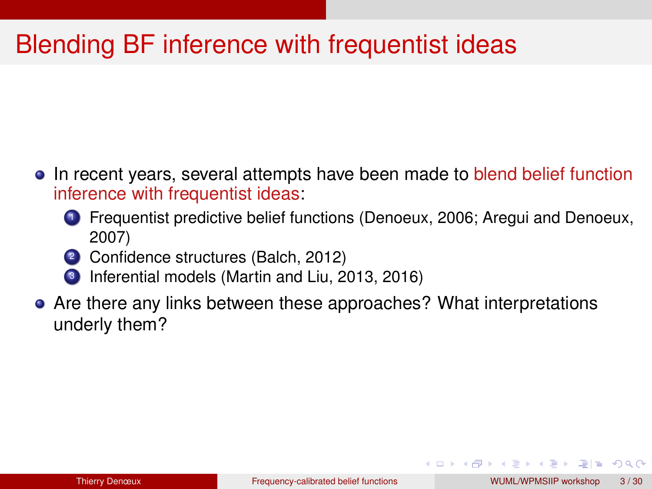# Blending BF inference with frequentist ideas

- In recent years, several attempts have been made to blend belief function inference with frequentist ideas:
	- <sup>1</sup> Frequentist predictive belief functions (Denoeux, 2006; Aregui and Denoeux, 2007)
	- 2 Confidence structures (Balch, 2012)
	- <sup>3</sup> Inferential models (Martin and Liu, 2013, 2016)
- Are there any links between these approaches? What interpretations underly them?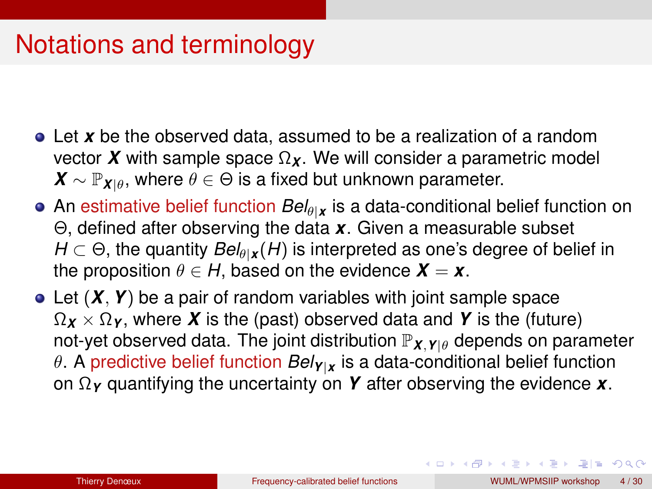# Notations and terminology

- Let *x* be the observed data, assumed to be a realization of a random vector *X* with sample space  $\Omega$ <sub>*x*</sub>. We will consider a parametric model  $\mathbf{X} \sim \mathbb{P}_{\mathbf{X}|\theta}$ , where  $\theta \in \Theta$  is a fixed but unknown parameter.
- An estimative belief function  $Bel_{\theta|X}$  is a data-conditional belief function on Θ, defined after observing the data *x*. Given a measurable subset  $H \subset \Theta$ , the quantity  $Bel_{\theta}$  *x* (*H*) is interpreted as one's degree of belief in the proposition  $\theta \in H$ , based on the evidence  $\mathbf{X} = \mathbf{x}$ .
- Let (*X*, *Y*) be a pair of random variables with joint sample space  $\Omega_X \times \Omega_Y$ , where *X* is the (past) observed data and *Y* is the (future) not-yet observed data. The joint distribution  $\mathbb{P}_{\mathbf{X},\mathbf{Y}|\theta}$  depends on parameter θ. A predictive belief function *BelY*|*<sup>x</sup>* is a data-conditional belief function on Ω*<sup>Y</sup>* quantifying the uncertainty on *Y* after observing the evidence *x*.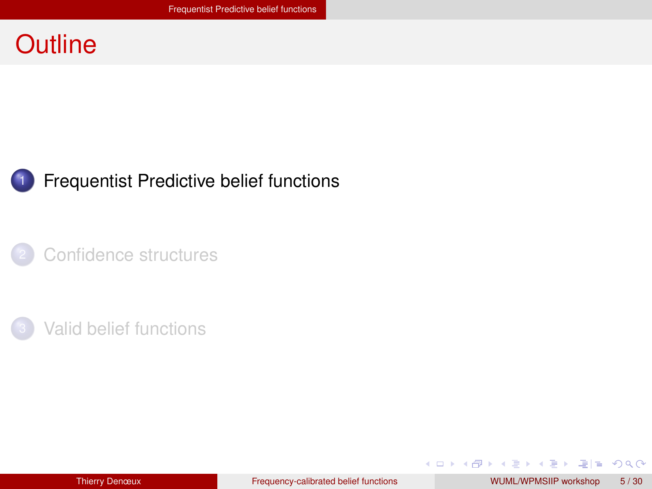#### <span id="page-4-0"></span>**Outline**



#### **[Frequentist Predictive belief functions](#page-4-0)**

[Confidence structures](#page-10-0)



イロメ イ母メ イヨメ イヨメ

 $= \Omega Q$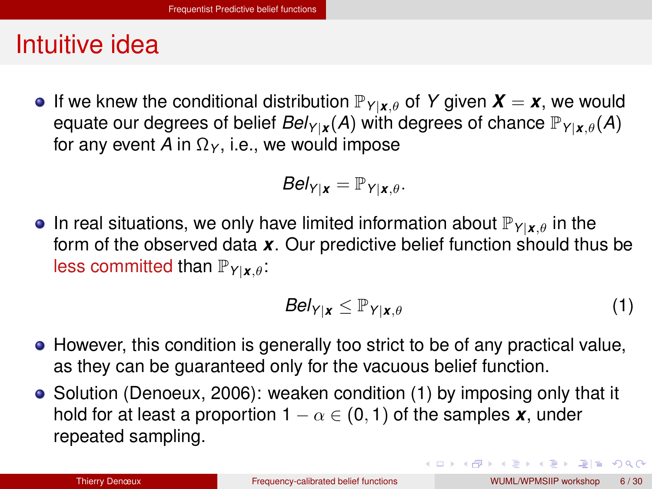#### <span id="page-5-0"></span>Intuitive idea

**If** we knew the conditional distribution  $\mathbb{P}_{Y|\mathbf{x},\theta}$  of Y given  $\mathbf{X}=\mathbf{x}$ , we would equate our degrees of belief  $Bel_{Y|X}(A)$  with degrees of chance  $\mathbb{P}_{Y|X,\theta}(A)$ for any event *A* in  $\Omega_Y$ , i.e., we would impose

$$
Bel_{Y|\boldsymbol{x}} = \mathbb{P}_{Y|\boldsymbol{x},\theta}.
$$

**In real situations, we only have limited information about**  $\mathbb{P}_{Y|X|\theta}$  **in the** form of the observed data *x*. Our predictive belief function should thus be less committed than P*Y*|*x*,θ:

<span id="page-5-1"></span>
$$
Bel_{Y|X} \leq \mathbb{P}_{Y|X,\theta} \tag{1}
$$

- However, this condition is generally too strict to be of any practical value, as they can be guaranteed only for the vacuous belief function.
- Solution (Denoeux, 2006): weaken condition [\(1\)](#page-5-1) by imposing only that it hold for at least a proportion  $1 - \alpha \in (0, 1)$  of the samples **x**, under repeated sampling.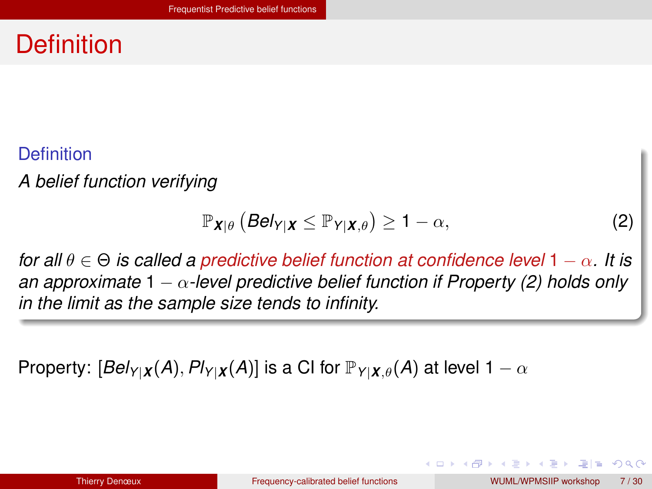### <span id="page-6-0"></span>**Definition**

#### **Definition**

*A belief function verifying*

<span id="page-6-1"></span>
$$
\mathbb{P}_{\mathbf{X}|\theta}\left(\mathbf{Bel}_{Y|\mathbf{X}} \leq \mathbb{P}_{Y|\mathbf{X},\theta}\right) \geq 1 - \alpha,\tag{2}
$$

*for all* θ ∈ Θ *is called a predictive belief function at confidence level* 1 − α*. It is an approximate* 1 − α*-level predictive belief function if Property [\(2\)](#page-6-1) holds only in the limit as the sample size tends to infinity.*

Property:  $[Bel_{Y|X}(A), Pl_{Y|X}(A)]$  is a CI for  $\mathbb{P}_{Y|X,\theta}(A)$  at level  $1 - \alpha$ 

上日 の女の

in the second property of the property of the property of the property of the property of the property of the second property of the second property of the second property of the second property of the second property of t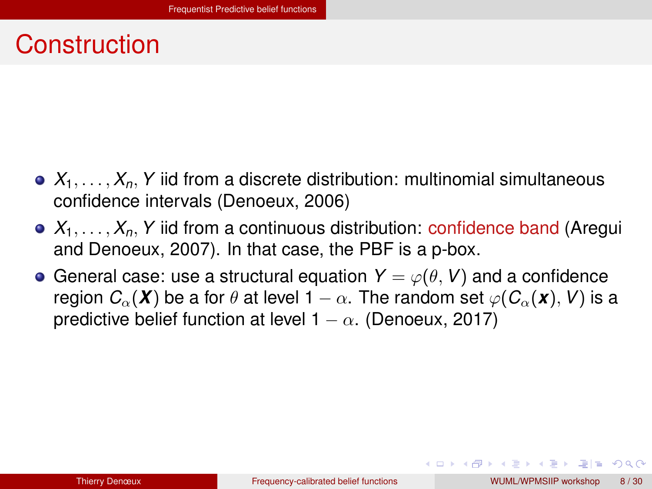#### <span id="page-7-0"></span>Construction

- $\bullet$   $X_1, \ldots, X_n, Y$  iid from a discrete distribution: multinomial simultaneous confidence intervals (Denoeux, 2006)
- $\bullet$   $X_1, \ldots, X_n, Y$  iid from a continuous distribution: confidence band (Aregui and Denoeux, 2007). In that case, the PBF is a p-box.
- General case: use a structural equation  $Y = \varphi(\theta, V)$  and a confidence region  $C_{\alpha}(\mathbf{X})$  be a for  $\theta$  at level 1 –  $\alpha$ . The random set  $\varphi(C_{\alpha}(\mathbf{x}), V)$  is a predictive belief function at level  $1 - \alpha$ . (Denoeux, 2017)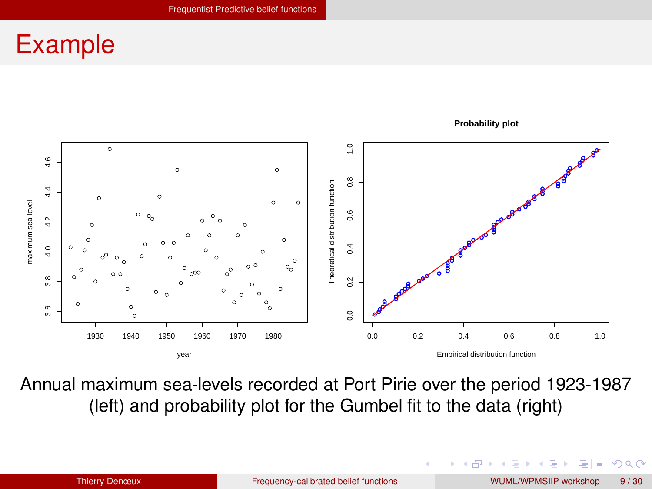#### <span id="page-8-0"></span>Example



Annual maximum sea-levels recorded at Port Pirie over the period 1923-1987 (left) and probability plot for the Gumbel fit to the data (right)

つひひ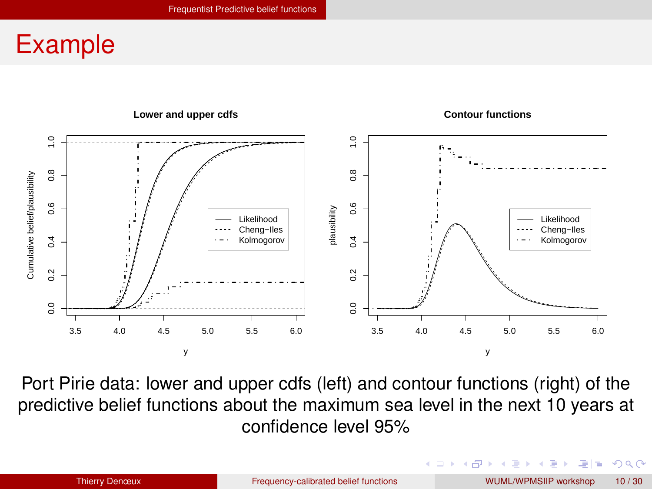#### <span id="page-9-0"></span>Example



Port Pirie data: lower and upper cdfs (left) and contour functions (right) of the predictive belief functions about the maximum sea level in the next 10 years at confidence level 95%

(□ ) ( ) → ( ) → ( ) → (

 $QQQ$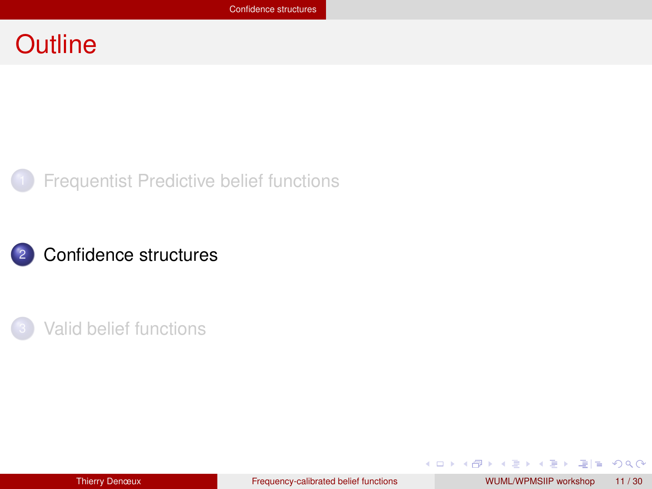#### <span id="page-10-0"></span>**Outline**







 $E \odot Q$ 

イロメ イ母メ イヨメ イヨメ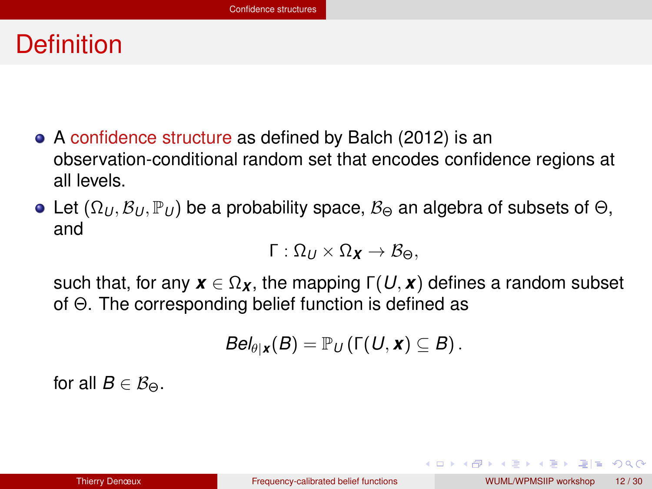#### <span id="page-11-0"></span>**Definition**

- A confidence structure as defined by Balch (2012) is an observation-conditional random set that encodes confidence regions at all levels.
- Let  $(\Omega_U, \mathcal{B}_U, \mathbb{P}_U)$  be a probability space,  $\mathcal{B}_{\Theta}$  an algebra of subsets of  $\Theta$ , and

$$
\Gamma:\Omega_{U}\times\Omega_{\pmb{X}}\rightarrow\mathcal{B}_{\Theta},
$$

such that, for any  $\mathbf{x} \in \Omega_{\mathbf{x}}$ , the mapping  $\Gamma(U, \mathbf{x})$  defines a random subset of Θ. The corresponding belief function is defined as

$$
Bel_{\theta|\mathbf{x}}(B) = \mathbb{P}_U(\Gamma(U,\mathbf{x}) \subseteq B).
$$

for all  $B \in \mathcal{B}_{\Theta}$ .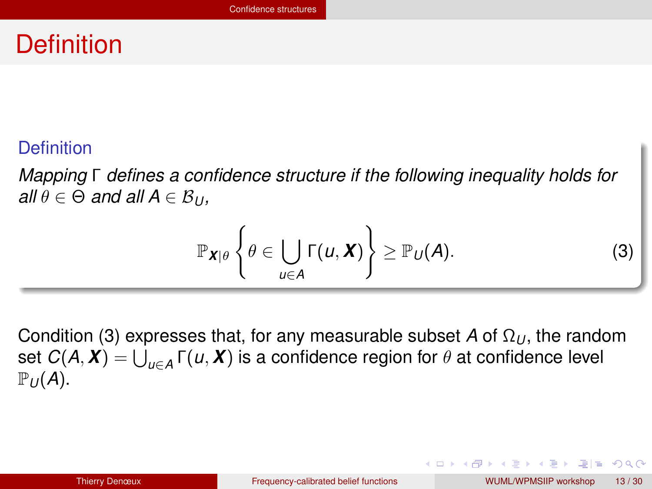#### <span id="page-12-0"></span>**Definition**

#### **Definition**

*Mapping* Γ *defines a confidence structure if the following inequality holds for*  $all \theta \in \Theta$  *and all*  $A \in \mathcal{B}_{U}$ ,

<span id="page-12-1"></span>
$$
\mathbb{P}_{\boldsymbol{X}|\theta}\left\{\theta\in\bigcup_{u\in A}\Gamma(u,\boldsymbol{X})\right\}\geq\mathbb{P}_{U}(A). \tag{3}
$$

Condition [\(3\)](#page-12-1) expresses that, for any measurable subset *A* of  $Ω<sub>U</sub>$ , the random  $\mathsf{set}\; C(\pmb{\mathcal{A}},\pmb{\mathcal{X}})=\bigcup_{u\in A}\mathsf{\Gamma}(u,\pmb{\mathcal{X}})$  is a confidence region for  $\theta$  at confidence level  $\mathbb{P}_U(A)$ .

通信 めなべ

化重新化重新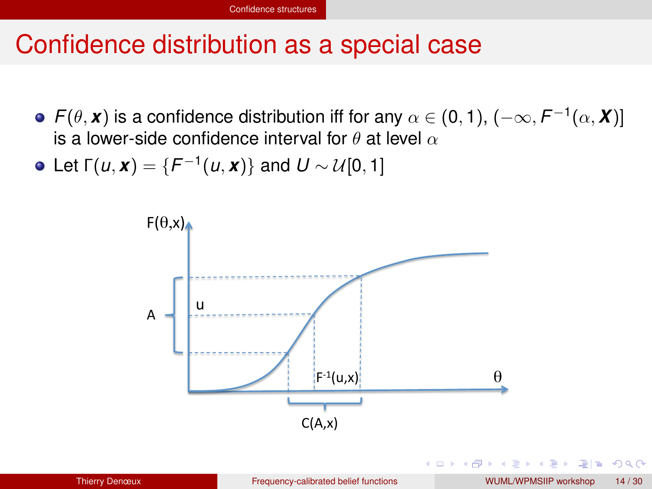#### <span id="page-13-0"></span>Confidence distribution as a special case

- *F*( $\theta$ , *x*) is a confidence distribution iff for any  $\alpha \in (0,1)$ ,  $(-\infty, F^{-1}(\alpha, X)]$ is a lower-side confidence interval for  $\theta$  at level  $\alpha$
- Let  $\Gamma(u, \mathbf{x}) = \{F^{-1}(u, \mathbf{x})\}$  and  $U \sim \mathcal{U}[0, 1]$



 $\Omega$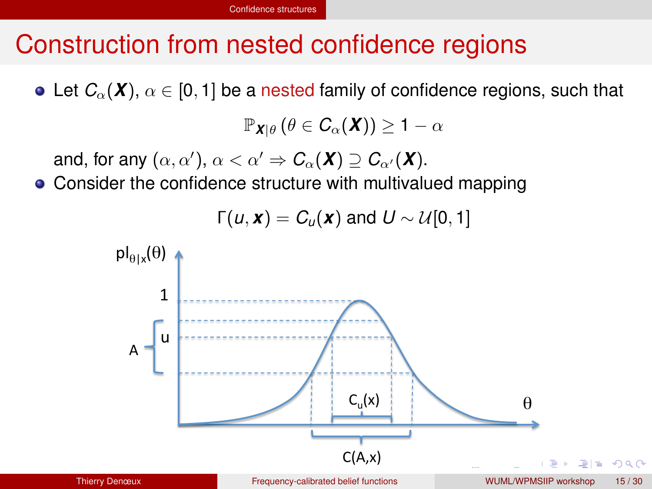# <span id="page-14-0"></span>Construction from nested confidence regions

• Let  $C_{\alpha}(\mathbf{X})$ ,  $\alpha \in [0,1]$  be a nested family of confidence regions, such that

 $\mathbb{P}_{\mathbf{X}|\theta}(\theta \in C_{\alpha}(\mathbf{X})) \geq 1 - \alpha$ 

and, for any  $(\alpha, \alpha'),$   $\alpha < \alpha' \Rightarrow C_{\alpha}(\boldsymbol{X}) \supseteq C_{\alpha'}(\boldsymbol{X})$ .

• Consider the confidence structure with multivalued mapping

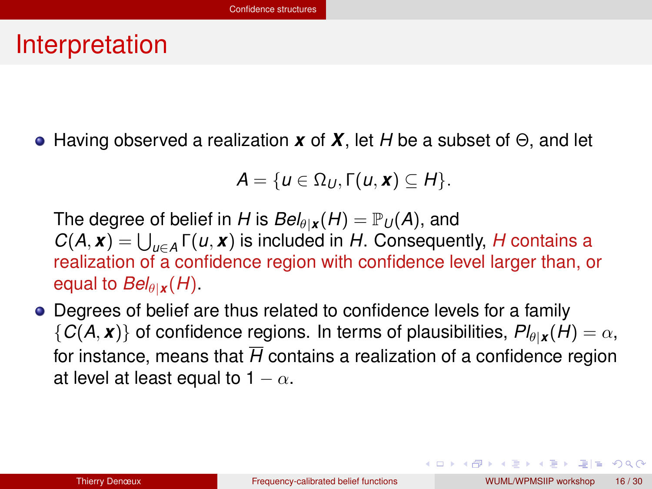#### <span id="page-15-0"></span>Interpretation

Having observed a realization *x* of *X*, let *H* be a subset of Θ, and let

$$
A=\{u\in\Omega_U,\Gamma(u,\mathbf{x})\subseteq H\}.
$$

The degree of belief in *H* is  $Bel_{\theta}$ <sub>*x*</sub>(*H*) =  $\mathbb{P}_U(A)$ , and  $C(A, x) = \bigcup_{u \in A} \Gamma(u, x)$  is included in *H*. Consequently, *H* contains a realization of a confidence region with confidence level larger than, or equal to  $Bel_{\theta|{\bf{x}}}$  (*H*).

Degrees of belief are thus related to confidence levels for a family  ${C(A, x)}$  of confidence regions. In terms of plausibilities,  $Pl_{\theta | x}(H) = \alpha$ , for instance, means that  $\overline{H}$  contains a realization of a confidence region at level at least equal to  $1 - \alpha$ .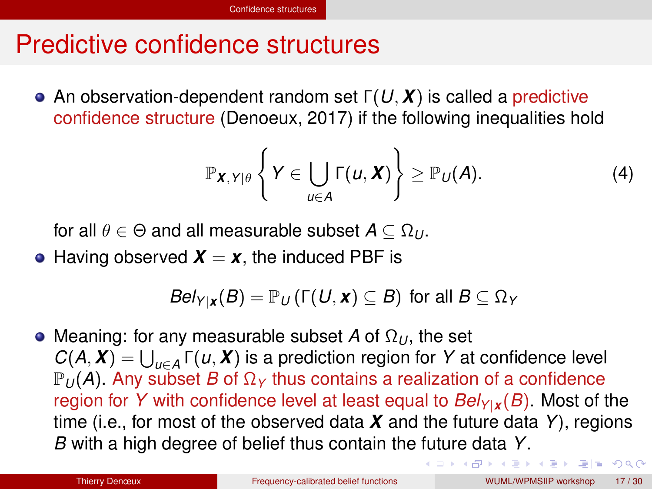#### <span id="page-16-0"></span>Predictive confidence structures

An observation-dependent random set Γ(*U*, *X*) is called a predictive confidence structure (Denoeux, 2017) if the following inequalities hold

$$
\mathbb{P}_{\boldsymbol{X},\,Y|\theta}\left\{Y\in\bigcup_{u\in A}\Gamma(u,\boldsymbol{X})\right\}\geq\mathbb{P}_{U}(A). \tag{4}
$$

for all  $\theta \in \Theta$  and all measurable subset  $A \subseteq \Omega_U$ .

• Having observed  $X = x$ , the induced PBF is

 $Bel_{Y|X}(B) = \mathbb{P}_U(\Gamma(U, x) \subseteq B)$  for all  $B \subseteq \Omega_Y$ 

Meaning: for any measurable subset *A* of Ω*<sup>U</sup>* , the set  $C(A, X) = \bigcup_{u \in A} \Gamma(u, X)$  is a prediction region for *Y* at confidence level  $\mathbb{P}_U(A)$ . Any subset *B* of  $\Omega_Y$  thus contains a realization of a confidence region for *Y* with confidence level at least equal to  $Bel_{Y|X}(B)$ . Most of the time (i.e., for most of the observed data *X* and the future data *Y*), regions *B* with a high degree of belief thus contain the future data *Y*.

ロトメ 伊 トメミトメミト ミ性 めんぴ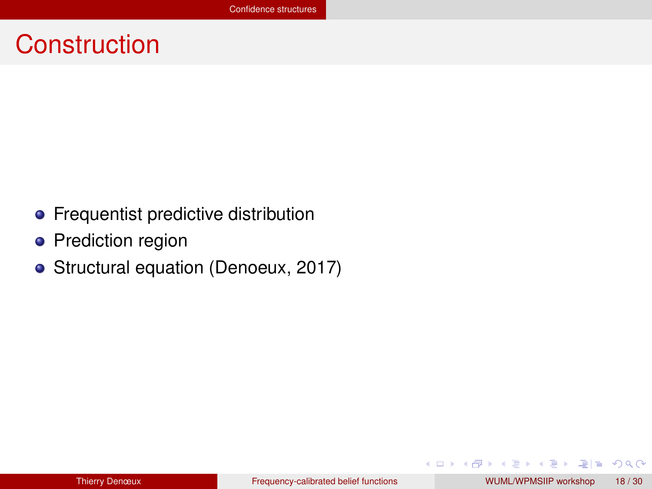#### <span id="page-17-0"></span>**Construction**

- **•** Frequentist predictive distribution
- Prediction region
- Structural equation (Denoeux, 2017)

E K ik ⊞i

◂**◻▸ ◂<del>╓</del>▸** 

 $E \cap Q$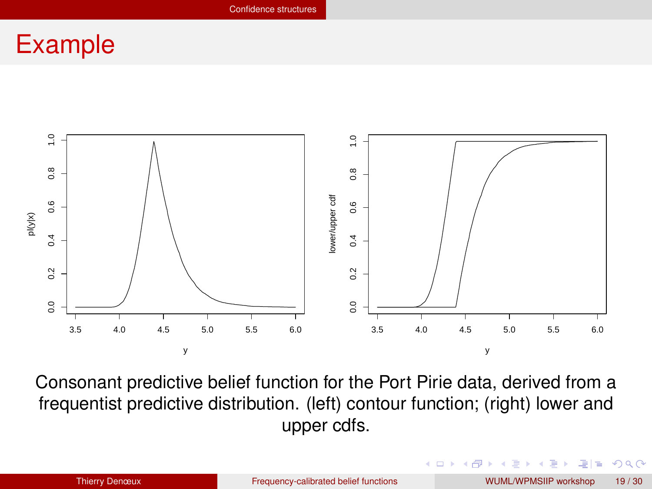#### <span id="page-18-0"></span>Example



Consonant predictive belief function for the Port Pirie data, derived from a frequentist predictive distribution. (left) contour function; (right) lower and upper cdfs.

4 D F

 $2Q$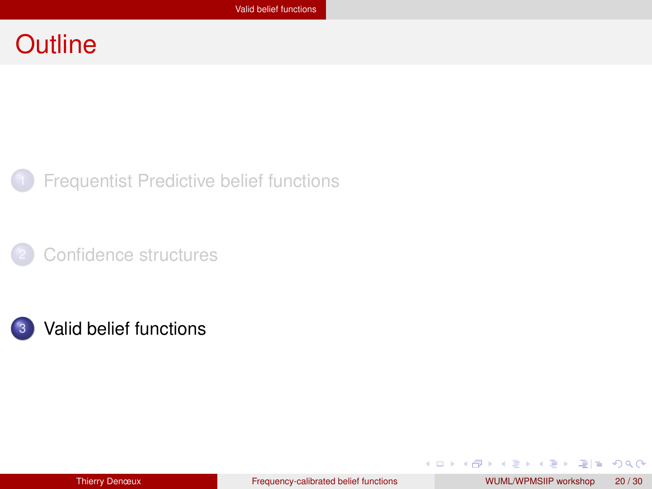#### <span id="page-19-0"></span>**Outline**



**[Frequentist Predictive belief functions](#page-4-0)** 

[Confidence structures](#page-10-0)





 $= \Omega Q$ 

イロト イ母 トイヨ トイヨ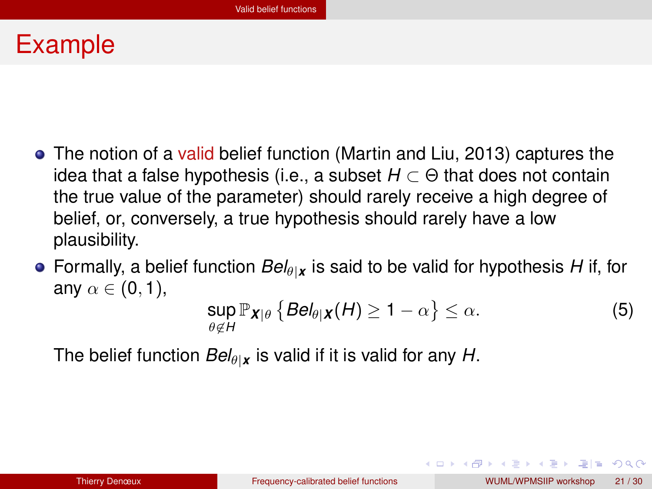#### <span id="page-20-0"></span>Example

- The notion of a valid belief function (Martin and Liu, 2013) captures the idea that a false hypothesis (i.e., a subset *H* ⊂ Θ that does not contain the true value of the parameter) should rarely receive a high degree of belief, or, conversely, a true hypothesis should rarely have a low plausibility.
- **•** Formally, a belief function  $Bel_{\theta}$ *x* is said to be valid for hypothesis *H* if, for any  $\alpha \in (0,1)$ ,

$$
\sup_{\theta \notin H} \mathbb{P}_{\mathbf{X}|\theta} \left\{ \mathbf{Bel}_{\theta|\mathbf{X}}(H) \ge 1 - \alpha \right\} \le \alpha. \tag{5}
$$

The belief function  $Bel_{\theta|{\bf x}}$  is valid if it is valid for any *H*.

⊫ ഗαര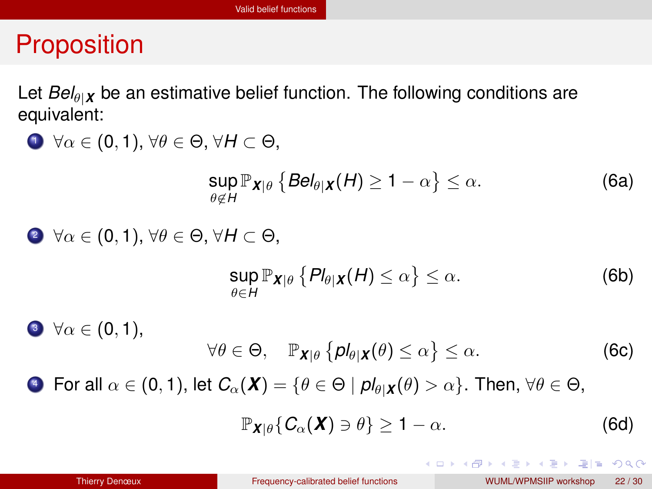# <span id="page-21-0"></span>**Proposition**

Let  $Bel_{\theta|X}$  be an estimative belief function. The following conditions are equivalent:

\n- \n
$$
\forall \alpha \in (0, 1), \forall \theta \in \Theta, \forall H \subset \Theta,
$$
\n $\sup_{\theta \notin H} \mathbb{P}_{\mathbf{X}|\theta} \left\{ \text{Bel}_{\theta|\mathbf{X}}(H) \geq 1 - \alpha \right\} \leq \alpha.$ \n
\n- \n $\forall \alpha \in (0, 1), \forall \theta \in \Theta, \forall H \subset \Theta,$ \n $\sup_{\theta \in H} \mathbb{P}_{\mathbf{X}|\theta} \left\{ Pl_{\theta|\mathbf{X}}(H) \leq \alpha \right\} \leq \alpha.$ \n
\n- \n $\forall \alpha \in (0, 1),$ \n $\forall \theta \in \Theta, \quad \mathbb{P}_{\mathbf{X}|\theta} \left\{ pl_{\theta|\mathbf{X}}(\theta) \leq \alpha \right\} \leq \alpha.$ \n
\n- \n For all  $\alpha \in (0, 1), \text{ let } C_{\alpha}(\mathbf{X}) = \left\{ \theta \in \Theta \mid pl_{\theta|\mathbf{X}}(\theta) > \alpha \right\}.$ \n
\n

$$
\mathbb{P}_{\mathbf{X}|\theta}\{C_{\alpha}(\mathbf{X})\ni\theta\}\geq 1-\alpha.
$$
 (6d)

**K ロ ト K 何 ト** 

津信 めなめ

医单位 医单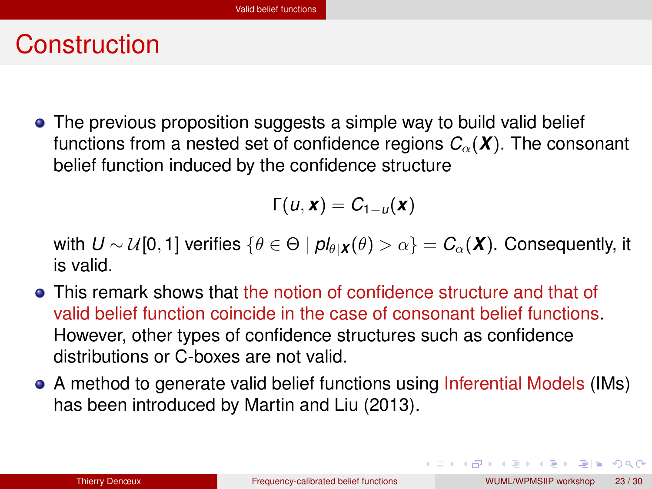#### <span id="page-22-0"></span>**Construction**

• The previous proposition suggests a simple way to build valid belief functions from a nested set of confidence regions  $C_\alpha(\mathbf{X})$ . The consonant belief function induced by the confidence structure

$$
\Gamma(u,\mathbf{x})=C_{1-u}(\mathbf{x})
$$

with  $U \sim \mathcal{U}[0, 1]$  verifies  $\{\theta \in \Theta \mid pl_{\theta}|\mathbf{x}(\theta) > \alpha\} = C_{\alpha}(\mathbf{X})$ . Consequently, it is valid.

- This remark shows that the notion of confidence structure and that of valid belief function coincide in the case of consonant belief functions. However, other types of confidence structures such as confidence distributions or C-boxes are not valid.
- A method to generate valid belief functions using Inferential Models (IMs) has been introduced by Martin and Liu (2013).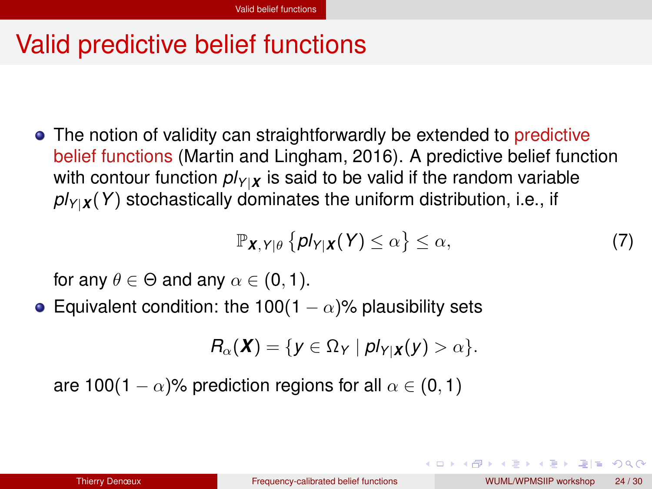# <span id="page-23-0"></span>Valid predictive belief functions

• The notion of validity can straightforwardly be extended to predictive belief functions (Martin and Lingham, 2016). A predictive belief function with contour function  $pV_{Y|X}$  is said to be valid if the random variable  $pV_{Y|X}(Y)$  stochastically dominates the uniform distribution, i.e., if

$$
\mathbb{P}_{\mathbf{X},\mathbf{Y}|\theta}\left\{\mathbf{p}l_{\mathbf{Y}|\mathbf{X}}(\mathbf{Y})\leq\alpha\right\}\leq\alpha,\tag{7}
$$

for any  $\theta \in \Theta$  and any  $\alpha \in (0, 1)$ .

• Equivalent condition: the 100(1 –  $\alpha$ )% plausibility sets

$$
R_{\alpha}(\boldsymbol{X}) = \{y \in \Omega_Y \mid \textit{pl}_{Y|\boldsymbol{X}}(y) > \alpha\}.
$$

are 100(1 –  $\alpha$ )% prediction regions for all  $\alpha \in (0,1)$ 

 $\Omega$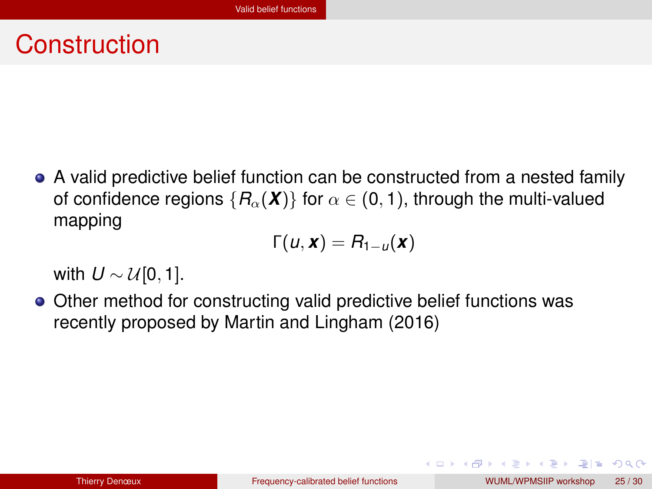#### <span id="page-24-0"></span>**Construction**

A valid predictive belief function can be constructed from a nested family of confidence regions  ${R_\alpha(\mathbf{X})}$  for  $\alpha \in (0,1)$ , through the multi-valued mapping

$$
\Gamma(u,\mathbf{x})=R_{1-u}(\mathbf{x})
$$

with  $U \sim \mathcal{U}[0, 1]$ .

• Other method for constructing valid predictive belief functions was recently proposed by Martin and Lingham (2016)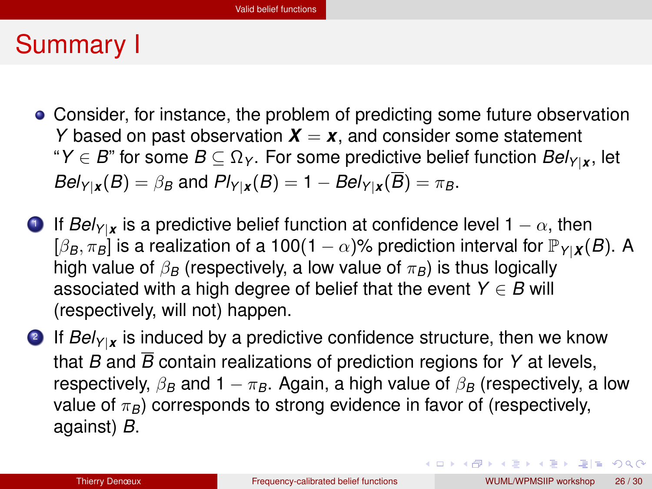#### <span id="page-25-0"></span>Summary I

- Consider, for instance, the problem of predicting some future observation *Y* based on past observation  $X = x$ , and consider some statement "*Y*  $\in$  *B*" for some *B*  $\subseteq$   $\Omega$ <sub>*Y*</sub>. For some predictive belief function *Bel<sub>Y|x</sub>*, let  $Bel_{Y|X}(B) = \beta_B$  and  $Pl_{Y|X}(B) = 1 - Bel_{Y|X}(\overline{B}) = \pi_B$ .
- **D** If  $\textit{Bel}_{Y|X}$  is a predictive belief function at confidence level 1  $-\alpha$ , then  $[\beta_B, \pi_B]$  is a realization of a 100(1 –  $\alpha$ )% prediction interval for  $\mathbb{P}_{Y|X}(B)$ . A high value of  $\beta_B$  (respectively, a low value of  $\pi_B$ ) is thus logically associated with a high degree of belief that the event  $Y \in B$  will (respectively, will not) happen.
- 2 If *BelY*|*<sup>x</sup>* is induced by a predictive confidence structure, then we know that *B* and *B* contain realizations of prediction regions for *Y* at levels, respectively,  $\beta_B$  and 1  $-\pi_B$ . Again, a high value of  $\beta_B$  (respectively, a low value of  $\pi_B$ ) corresponds to strong evidence in favor of (respectively, against) *B*.

KOD KARD KED KED EIE KOO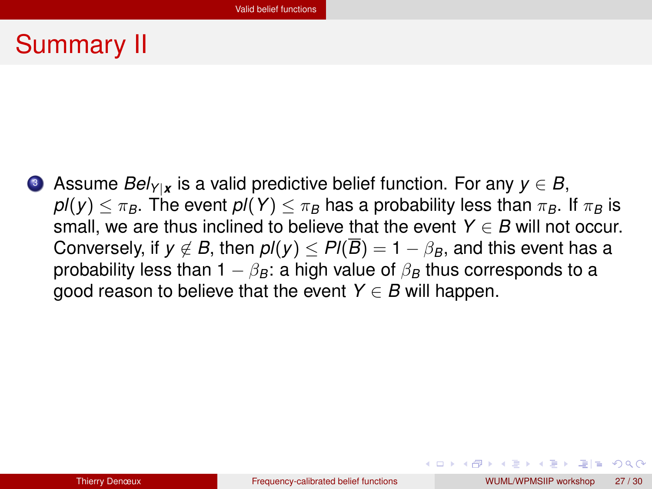## <span id="page-26-0"></span>Summary II

<sup>3</sup> Assume *BelY*|*<sup>x</sup>* is a valid predictive belief function. For any *y* ∈ *B*,  $pI(y) \leq \pi_B$ . The event  $pI(Y) \leq \pi_B$  has a probability less than  $\pi_B$ . If  $\pi_B$  is small, we are thus inclined to believe that the event  $Y \in B$  will not occur. Conversely, if  $y \notin B$ , then  $pI(y) \leq PI(\overline{B}) = 1 - \beta_B$ , and this event has a probability less than 1  $-\beta_B$ : a high value of  $\beta_B$  thus corresponds to a good reason to believe that the event  $Y \in B$  will happen.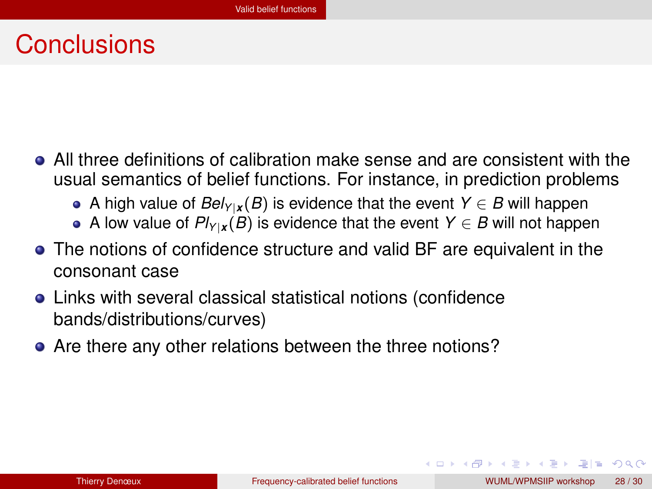### <span id="page-27-0"></span>**Conclusions**

- All three definitions of calibration make sense and are consistent with the usual semantics of belief functions. For instance, in prediction problems
	- A high value of  $Bel_{Y|X}(B)$  is evidence that the event  $Y \in B$  will happen
	- A low value of  $Pl_{Y|X}(B)$  is evidence that the event  $Y \in B$  will not happen
- The notions of confidence structure and valid BF are equivalent in the consonant case
- Links with several classical statistical notions (confidence bands/distributions/curves)
- Are there any other relations between the three notions?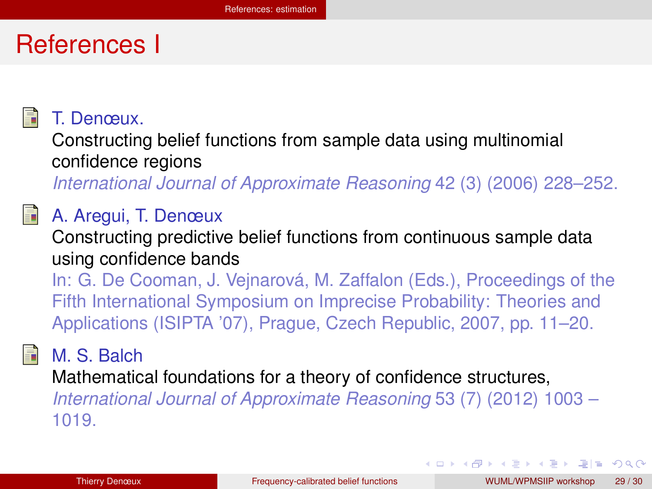#### <span id="page-28-0"></span>References I



T. Denœux.

Constructing belief functions from sample data using multinomial confidence regions

*International Journal of Approximate Reasoning* 42 (3) (2006) 228–252.

#### A. Aregui, T. Denœux

Constructing predictive belief functions from continuous sample data using confidence bands

In: G. De Cooman, J. Vejnarová, M. Zaffalon (Eds.), Proceedings of the Fifth International Symposium on Imprecise Probability: Theories and Applications (ISIPTA '07), Prague, Czech Republic, 2007, pp. 11–20.

昴

M. S. Balch

Mathematical foundations for a theory of confidence structures, *International Journal of Approximate Reasoning* 53 (7) (2012) 1003 – 1019.